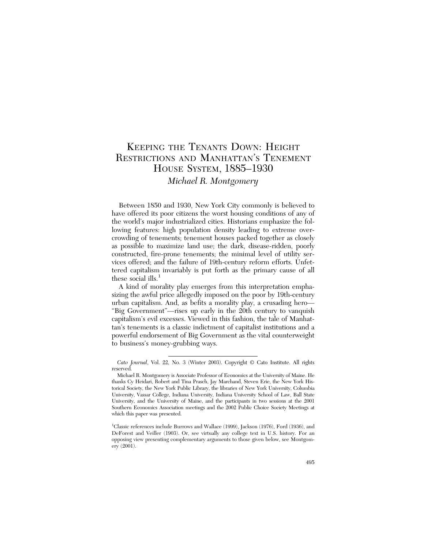# KEEPING THE TENANTS DOWN: HEIGHT RESTRICTIONS AND MANHATTAN'S TENEMENT HOUSE SYSTEM, 1885–1930 *Michael R. Montgomery*

Between 1850 and 1930, New York City commonly is believed to have offered its poor citizens the worst housing conditions of any of the world's major industrialized cities. Historians emphasize the following features: high population density leading to extreme overcrowding of tenements; tenement houses packed together as closely as possible to maximize land use; the dark, disease-ridden, poorly constructed, fire-prone tenements; the minimal level of utility services offered; and the failure of 19th-century reform efforts. Unfettered capitalism invariably is put forth as the primary cause of all these social ills. $<sup>1</sup>$ </sup>

A kind of morality play emerges from this interpretation emphasizing the awful price allegedly imposed on the poor by 19th-century urban capitalism. And, as befits a morality play, a crusading hero— "Big Government"—rises up early in the 20th century to vanquish capitalism's evil excesses. Viewed in this fashion, the tale of Manhattan's tenements is a classic indictment of capitalist institutions and a powerful endorsement of Big Government as the vital counterweight to business's money-grubbing ways.

*Cato Journal*, Vol. 22, No. 3 (Winter 2003). Copyright © Cato Institute. All rights reserved.

Michael R. Montgomery is Associate Professor of Economics at the University of Maine. He thanks Cy Heidari, Robert and Tina Prasch, Jay Marchand, Steven Erie, the New York Historical Society, the New York Public Library, the libraries of New York University, Columbia University, Vassar College, Indiana University, Indiana University School of Law, Ball State University, and the University of Maine, and the participants in two sessions at the 2001 Southern Economics Association meetings and the 2002 Public Choice Society Meetings at which this paper was presented.

<sup>&</sup>lt;sup>1</sup>Classic references include Burrows and Wallace (1999), Jackson (1976), Ford (1936), and DeForest and Veiller (1903). Or, see virtually any college text in U.S. history. For an opposing view presenting complementary arguments to those given below, see Montgomery (2001).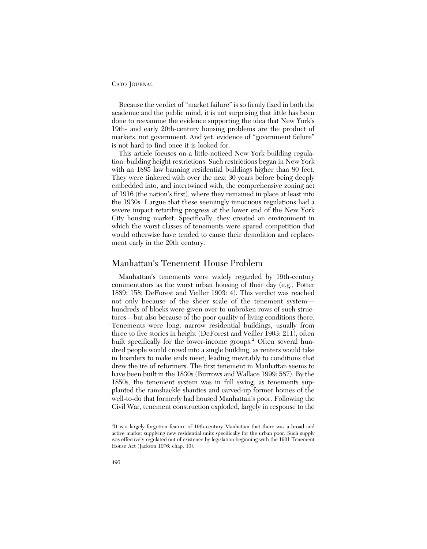Because the verdict of "market failure" is so firmly fixed in both the academic and the public mind, it is not surprising that little has been done to reexamine the evidence supporting the idea that New York's 19th- and early 20th-century housing problems are the product of markets, not government. And yet, evidence of "government failure" is not hard to find once it is looked for.

This article focuses on a little-noticed New York building regulation: building height restrictions. Such restrictions began in New York with an 1885 law banning residential buildings higher than 80 feet. They were tinkered with over the next 30 years before being deeply embedded into, and intertwined with, the comprehensive zoning act of 1916 (the nation's first), where they remained in place at least into the 1930s. I argue that these seemingly innocuous regulations had a severe impact retarding progress at the lower end of the New York City housing market. Specifically, they created an environment in which the worst classes of tenements were spared competition that would otherwise have tended to cause their demolition and replacement early in the 20th century.

## Manhattan's Tenement House Problem

Manhattan's tenements were widely regarded by 19th-century commentators as the worst urban housing of their day (e.g., Potter 1889: 158; DeForest and Veiller 1903: 4). This verdict was reached not only because of the sheer scale of the tenement system hundreds of blocks were given over to unbroken rows of such structures—but also because of the poor quality of living conditions there. Tenements were long, narrow residential buildings, usually from three to five stories in height (DeForest and Veiller 1903: 211), often built specifically for the lower-income groups.<sup>2</sup> Often several hundred people would crowd into a single building, as renters would take in boarders to make ends meet, leading inevitably to conditions that drew the ire of reformers. The first tenement in Manhattan seems to have been built in the 1830s (Burrows and Wallace 1999: 587). By the 1850s, the tenement system was in full swing, as tenements supplanted the ramshackle shanties and carved-up former homes of the well-to-do that formerly had housed Manhattan's poor. Following the Civil War, tenement construction exploded, largely in response to the

<sup>&</sup>lt;sup>2</sup>It is a largely forgotten feature of 19th-century Manhattan that there was a broad and active market supplying new residential units specifically for the urban poor. Such supply was effectively regulated out of existence by legislation beginning with the 1901 Tenement House Act (Jackson 1976: chap. 10).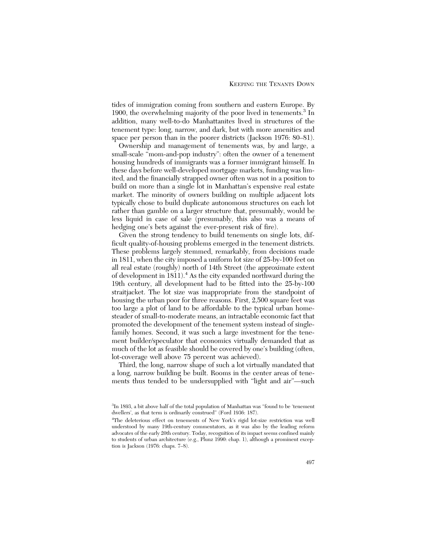tides of immigration coming from southern and eastern Europe. By 1900, the overwhelming majority of the poor lived in tenements.<sup>3</sup> In addition, many well-to-do Manhattanites lived in structures of the tenement type: long, narrow, and dark, but with more amenities and space per person than in the poorer districts (Jackson 1976: 80–81).

Ownership and management of tenements was, by and large, a small-scale "mom-and-pop industry": often the owner of a tenement housing hundreds of immigrants was a former immigrant himself. In these days before well-developed mortgage markets, funding was limited, and the financially strapped owner often was not in a position to build on more than a single lot in Manhattan's expensive real estate market. The minority of owners building on multiple adjacent lots typically chose to build duplicate autonomous structures on each lot rather than gamble on a larger structure that, presumably, would be less liquid in case of sale (presumably, this also was a means of hedging one's bets against the ever-present risk of fire).

Given the strong tendency to build tenements on single lots, difficult quality-of-housing problems emerged in the tenement districts. These problems largely stemmed, remarkably, from decisions made in 1811, when the city imposed a uniform lot size of 25-by-100 feet on all real estate (roughly) north of 14th Street (the approximate extent of development in 1811).<sup>4</sup> As the city expanded northward during the 19th century, all development had to be fitted into the 25-by-100 straitjacket. The lot size was inappropriate from the standpoint of housing the urban poor for three reasons. First, 2,500 square feet was too large a plot of land to be affordable to the typical urban homesteader of small-to-moderate means, an intractable economic fact that promoted the development of the tenement system instead of singlefamily homes. Second, it was such a large investment for the tenement builder/speculator that economics virtually demanded that as much of the lot as feasible should be covered by one's building (often, lot-coverage well above 75 percent was achieved).

Third, the long, narrow shape of such a lot virtually mandated that a long, narrow building be built. Rooms in the center areas of tenements thus tended to be undersupplied with "light and air"—such

<sup>&</sup>lt;sup>3</sup>In 1893, a bit above half of the total population of Manhattan was "found to be 'tenement dwellers', as that term is ordinarily construed" (Ford 1936: 187).

<sup>&</sup>lt;sup>4</sup>The deleterious effect on tenements of New York's rigid lot-size restriction was well understood by many 19th-century commentators, as it was also by the leading reform advocates of the early 20th century. Today, recognition of its impact seems confined mainly to students of urban architecture (e.g., Plunz 1990: chap. 1), although a prominent exception is Jackson (1976: chaps. 7–8).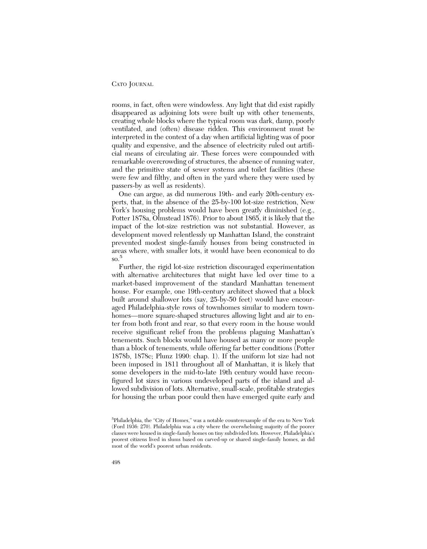rooms, in fact, often were windowless. Any light that did exist rapidly disappeared as adjoining lots were built up with other tenements, creating whole blocks where the typical room was dark, damp, poorly ventilated, and (often) disease ridden. This environment must be interpreted in the context of a day when artificial lighting was of poor quality and expensive, and the absence of electricity ruled out artificial means of circulating air. These forces were compounded with remarkable overcrowding of structures, the absence of running water, and the primitive state of sewer systems and toilet facilities (these were few and filthy, and often in the yard where they were used by passers-by as well as residents).

One can argue, as did numerous 19th- and early 20th-century experts, that, in the absence of the 25-by-100 lot-size restriction, New York's housing problems would have been greatly diminished (e.g., Potter 1878a, Olmstead 1876). Prior to about 1865, it is likely that the impact of the lot-size restriction was not substantial. However, as development moved relentlessly up Manhattan Island, the constraint prevented modest single-family houses from being constructed in areas where, with smaller lots, it would have been economical to do  $\mathrm{so.}^5$ 

Further, the rigid lot-size restriction discouraged experimentation with alternative architectures that might have led over time to a market-based improvement of the standard Manhattan tenement house. For example, one 19th-century architect showed that a block built around shallower lots (say, 25-by-50 feet) would have encouraged Philadelphia-style rows of townhomes similar to modern townhomes—more square-shaped structures allowing light and air to enter from both front and rear, so that every room in the house would receive significant relief from the problems plaguing Manhattan's tenements. Such blocks would have housed as many or more people than a block of tenements, while offering far better conditions (Potter 1878b, 1878c; Plunz 1990: chap. 1). If the uniform lot size had not been imposed in 1811 throughout all of Manhattan, it is likely that some developers in the mid-to-late 19th century would have reconfigured lot sizes in various undeveloped parts of the island and allowed subdivision of lots. Alternative, small-scale, profitable strategies for housing the urban poor could then have emerged quite early and

<sup>&</sup>lt;sup>5</sup>Philadelphia, the "City of Homes," was a notable counterexample of the era to New York (Ford 1936: 270). Philadelphia was a city where the overwhelming majority of the poorer classes were housed in single-family homes on tiny subdivided lots. However, Philadelphia's poorest citizens lived in slums based on carved-up or shared single-family homes, as did most of the world's poorest urban residents.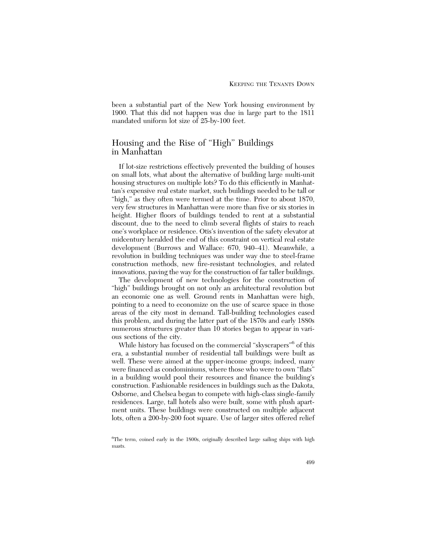been a substantial part of the New York housing environment by 1900. That this did not happen was due in large part to the 1811 mandated uniform lot size of 25-by-100 feet.

# Housing and the Rise of "High" Buildings in Manhattan

If lot-size restrictions effectively prevented the building of houses on small lots, what about the alternative of building large multi-unit housing structures on multiple lots? To do this efficiently in Manhattan's expensive real estate market, such buildings needed to be tall or "high," as they often were termed at the time. Prior to about 1870, very few structures in Manhattan were more than five or six stories in height. Higher floors of buildings tended to rent at a substantial discount, due to the need to climb several flights of stairs to reach one's workplace or residence. Otis's invention of the safety elevator at midcentury heralded the end of this constraint on vertical real estate development (Burrows and Wallace: 670, 940–41). Meanwhile, a revolution in building techniques was under way due to steel-frame construction methods, new fire-resistant technologies, and related innovations, paving the way for the construction of far taller buildings.

The development of new technologies for the construction of "high" buildings brought on not only an architectural revolution but an economic one as well. Ground rents in Manhattan were high, pointing to a need to economize on the use of scarce space in those areas of the city most in demand. Tall-building technologies eased this problem, and during the latter part of the 1870s and early 1880s numerous structures greater than 10 stories began to appear in various sections of the city.

While history has focused on the commercial "skyscrapers"<sup>6</sup> of this era, a substantial number of residential tall buildings were built as well. These were aimed at the upper-income groups; indeed, many were financed as condominiums, where those who were to own "flats" in a building would pool their resources and finance the building's construction. Fashionable residences in buildings such as the Dakota, Osborne, and Chelsea began to compete with high-class single-family residences. Large, tall hotels also were built, some with plush apartment units. These buildings were constructed on multiple adjacent lots, often a 200-by-200 foot square. Use of larger sites offered relief

<sup>&</sup>lt;sup>6</sup>The term, coined early in the 1800s, originally described large sailing ships with high masts.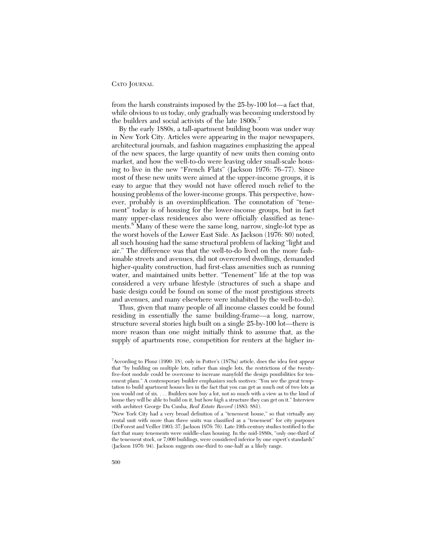from the harsh constraints imposed by the 25-by-100 lot—a fact that, while obvious to us today, only gradually was becoming understood by the builders and social activists of the late 1800s.<sup>7</sup>

By the early 1880s, a tall-apartment building boom was under way in New York City. Articles were appearing in the major newspapers, architectural journals, and fashion magazines emphasizing the appeal of the new spaces, the large quantity of new units then coming onto market, and how the well-to-do were leaving older small-scale housing to live in the new "French Flats" (Jackson 1976: 76–77). Since most of these new units were aimed at the upper-income groups, it is easy to argue that they would not have offered much relief to the housing problems of the lower-income groups. This perspective, however, probably is an oversimplification. The connotation of "tenement" today is of housing for the lower-income groups, but in fact many upper-class residences also were officially classified as tenements.<sup>8</sup> Many of these were the same long, narrow, single-lot type as the worst hovels of the Lower East Side. As Jackson (1976: 80) noted, all such housing had the same structural problem of lacking "light and air." The difference was that the well-to-do lived on the more fashionable streets and avenues, did not overcrowd dwellings, demanded higher-quality construction, had first-class amenities such as running water, and maintained units better. "Tenement" life at the top was considered a very urbane lifestyle (structures of such a shape and basic design could be found on some of the most prestigious streets and avenues, and many elsewhere were inhabited by the well-to-do).

Thus, given that many people of all income classes could be found residing in essentially the same building-frame—a long, narrow, structure several stories high built on a single 25-by-100 lot—there is more reason than one might initially think to assume that, as the supply of apartments rose, competition for renters at the higher in-

<sup>7</sup> According to Plunz (1990: 18), only in Potter's (1878a) article, does the idea first appear that "by building on multiple lots, rather than single lots, the restrictions of the twentyfive-foot module could be overcome to increase manyfold the design possibilities for tenement plans." A contemporary builder emphasizes such motives: "You see the great temptation to build apartment houses lies in the fact that you can get as much out of two lots as you would out of six. . . . Builders now buy a lot, not so much with a view as to the kind of house they will be able to build on it, but how *high* a structure they can get on it." Interview with architect George Da Cunha, *Real Estate Record* (1883: 881).

<sup>8</sup> New York City had a very broad definition of a "tenement house," so that virtually any rental unit with more than three units was classified as a "tenement" for city purposes (DeForest and Veiller 1903: 37; Jackson 1976: 76). Late 19th-century studies testified to the fact that many tenements were middle-class housing. In the mid-1880s, "only one-third of the tenement stock, or 7,000 buildings, were considered inferior by one expert's standards" (Jackson 1976: 94). Jackson suggests one-third to one-half as a likely range.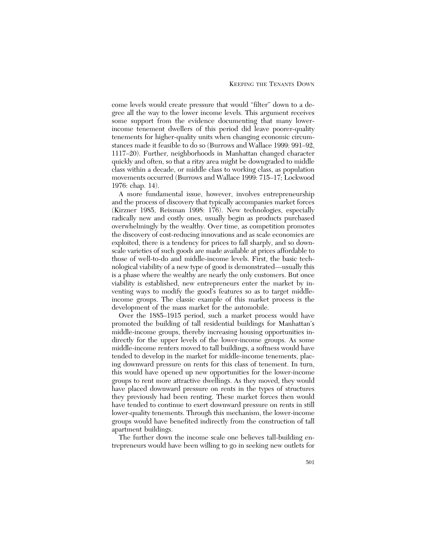come levels would create pressure that would "filter" down to a degree all the way to the lower income levels. This argument receives some support from the evidence documenting that many lowerincome tenement dwellers of this period did leave poorer-quality tenements for higher-quality units when changing economic circumstances made it feasible to do so (Burrows and Wallace 1999: 991–92, 1117–20). Further, neighborhoods in Manhattan changed character quickly and often, so that a ritzy area might be downgraded to middle class within a decade, or middle class to working class, as population movements occurred (Burrows and Wallace 1999: 715–17; Lockwood 1976: chap. 14).

A more fundamental issue, however, involves entrepreneurship and the process of discovery that typically accompanies market forces (Kirzner 1985, Reisman 1998: 176). New technologies, especially radically new and costly ones, usually begin as products purchased overwhelmingly by the wealthy. Over time, as competition promotes the discovery of cost-reducing innovations and as scale economies are exploited, there is a tendency for prices to fall sharply, and so downscale varieties of such goods are made available at prices affordable to those of well-to-do and middle-income levels. First, the basic technological viability of a new type of good is demonstrated—usually this is a phase where the wealthy are nearly the only customers. But once viability is established, new entrepreneurs enter the market by inventing ways to modify the good's features so as to target middleincome groups. The classic example of this market process is the development of the mass market for the automobile.

Over the 1885–1915 period, such a market process would have promoted the building of tall residential buildings for Manhattan's middle-income groups, thereby increasing housing opportunities indirectly for the upper levels of the lower-income groups. As some middle-income renters moved to tall buildings, a softness would have tended to develop in the market for middle-income tenements, placing downward pressure on rents for this class of tenement. In turn, this would have opened up new opportunities for the lower-income groups to rent more attractive dwellings. As they moved, they would have placed downward pressure on rents in the types of structures they previously had been renting. These market forces then would have tended to continue to exert downward pressure on rents in still lower-quality tenements. Through this mechanism, the lower-income groups would have benefited indirectly from the construction of tall apartment buildings.

The further down the income scale one believes tall-building entrepreneurs would have been willing to go in seeking new outlets for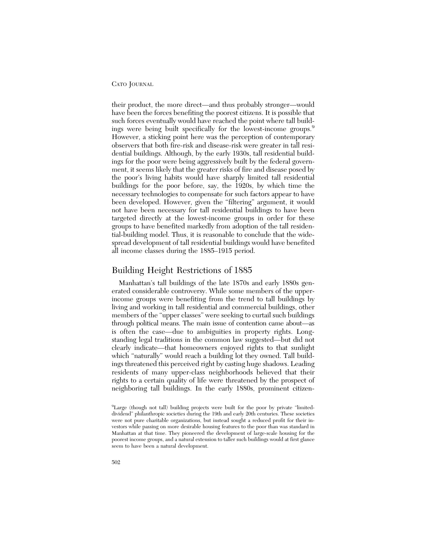their product, the more direct—and thus probably stronger—would have been the forces benefiting the poorest citizens. It is possible that such forces eventually would have reached the point where tall buildings were being built specifically for the lowest-income groups.<sup>9</sup> However, a sticking point here was the perception of contemporary observers that both fire-risk and disease-risk were greater in tall residential buildings. Although, by the early 1930s, tall residential buildings for the poor were being aggressively built by the federal government, it seems likely that the greater risks of fire and disease posed by the poor's living habits would have sharply limited tall residential buildings for the poor before, say, the 1920s, by which time the necessary technologies to compensate for such factors appear to have been developed. However, given the "filtering" argument, it would not have been necessary for tall residential buildings to have been targeted directly at the lowest-income groups in order for these groups to have benefited markedly from adoption of the tall residential-building model. Thus, it is reasonable to conclude that the widespread development of tall residential buildings would have benefited all income classes during the 1885–1915 period.

# Building Height Restrictions of 1885

Manhattan's tall buildings of the late 1870s and early 1880s generated considerable controversy. While some members of the upperincome groups were benefiting from the trend to tall buildings by living and working in tall residential and commercial buildings, other members of the "upper classes" were seeking to curtail such buildings through political means. The main issue of contention came about—as is often the case—due to ambiguities in property rights. Longstanding legal traditions in the common law suggested—but did not clearly indicate—that homeowners enjoyed rights to that sunlight which "naturally" would reach a building lot they owned. Tall buildings threatened this perceived right by casting huge shadows. Leading residents of many upper-class neighborhoods believed that their rights to a certain quality of life were threatened by the prospect of neighboring tall buildings. In the early 1880s, prominent citizen-

<sup>&</sup>lt;sup>9</sup>Large (though not tall) building projects were built for the poor by private "limiteddividend" philanthropic societies during the 19th and early 20th centuries. These societies were not pure charitable organizations, but instead sought a reduced profit for their investors while passing on more desirable housing features to the poor than was standard in Manhattan at that time. They pioneered the development of large-scale housing for the poorest income groups, and a natural extension to taller such buildings would at first glance seem to have been a natural development.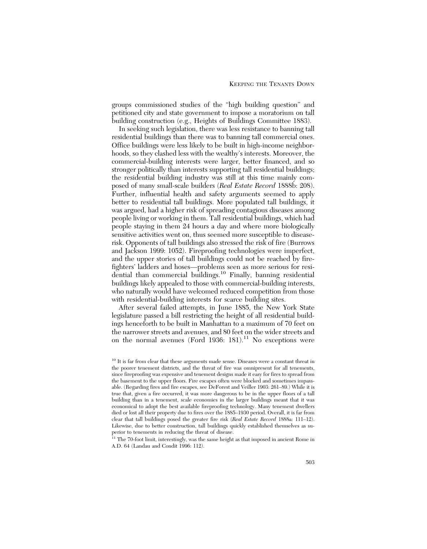groups commissioned studies of the "high building question" and petitioned city and state government to impose a moratorium on tall building construction (e.g., Heights of Buildings Committee 1883).

In seeking such legislation, there was less resistance to banning tall residential buildings than there was to banning tall commercial ones. Office buildings were less likely to be built in high-income neighborhoods, so they clashed less with the wealthy's interests. Moreover, the commercial-building interests were larger, better financed, and so stronger politically than interests supporting tall residential buildings; the residential building industry was still at this time mainly composed of many small-scale builders (*Real Estate Record* 1888b: 208). Further, influential health and safety arguments seemed to apply better to residential tall buildings. More populated tall buildings, it was argued, had a higher risk of spreading contagious diseases among people living or working in them. Tall residential buildings, which had people staying in them 24 hours a day and where more biologically sensitive activities went on, thus seemed more susceptible to diseaserisk. Opponents of tall buildings also stressed the risk of fire (Burrows and Jackson 1999: 1052). Fireproofing technologies were imperfect, and the upper stories of tall buildings could not be reached by firefighters' ladders and hoses—problems seen as more serious for residential than commercial buildings.<sup>10</sup> Finally, banning residential buildings likely appealed to those with commercial-building interests, who naturally would have welcomed reduced competition from those with residential-building interests for scarce building sites.

After several failed attempts, in June 1885, the New York State legislature passed a bill restricting the height of all residential buildings henceforth to be built in Manhattan to a maximum of 70 feet on the narrower streets and avenues, and 80 feet on the wider streets and on the normal avenues (Ford 1936: 181).<sup>11</sup> No exceptions were

 $^{10}$  It is far from clear that these arguments made sense. Diseases were a constant threat in the poorer tenement districts, and the threat of fire was omnipresent for all tenements, since fireproofing was expensive and tenement designs made it easy for fires to spread from the basement to the upper floors. Fire escapes often were blocked and sometimes impassable. (Regarding fires and fire escapes, see DeForest and Veiller 1903: 261–89.) While it is true that, given a fire occurred, it was more dangerous to be in the upper floors of a tall building than in a tenement, scale economies in the larger buildings meant that it was economical to adopt the best available fireproofing technology. Many tenement dwellers died or lost all their property due to fires over the 1885-1930 period. Overall, it is far from clear that tall buildings posed the greater fire risk (*Real Estate Record* 1888a: 111–12). Likewise, due to better construction, tall buildings quickly established themselves as superior to tenements in reducing the threat of disease.

 $11$  The 70-foot limit, interestingly, was the same height as that imposed in ancient Rome in A.D. 64 (Landau and Condit 1996: 112).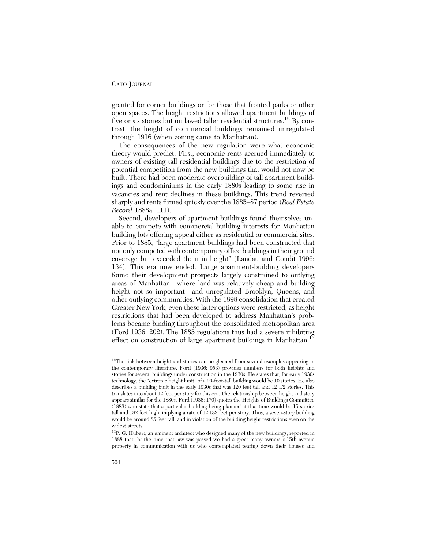granted for corner buildings or for those that fronted parks or other open spaces. The height restrictions allowed apartment buildings of five or six stories but outlawed taller residential structures.<sup>12</sup> By contrast, the height of commercial buildings remained unregulated through 1916 (when zoning came to Manhattan).

The consequences of the new regulation were what economic theory would predict. First, economic rents accrued immediately to owners of existing tall residential buildings due to the restriction of potential competition from the new buildings that would not now be built. There had been moderate overbuilding of tall apartment buildings and condominiums in the early 1880s leading to some rise in vacancies and rent declines in these buildings. This trend reversed sharply and rents firmed quickly over the 1885–87 period (*Real Estate Record* 1888a: 111).

Second, developers of apartment buildings found themselves unable to compete with commercial-building interests for Manhattan building lots offering appeal either as residential or commercial sites. Prior to 1885, "large apartment buildings had been constructed that not only competed with contemporary office buildings in their ground coverage but exceeded them in height" (Landau and Condit 1996: 134). This era now ended. Large apartment-building developers found their development prospects largely constrained to outlying areas of Manhattan—where land was relatively cheap and building height not so important—and unregulated Brooklyn, Queens, and other outlying communities. With the 1898 consolidation that created Greater New York, even these latter options were restricted, as height restrictions that had been developed to address Manhattan's problems became binding throughout the consolidated metropolitan area (Ford 1936: 202). The 1885 regulations thus had a severe inhibiting effect on construction of large apartment buildings in Manhattan.<sup>13</sup>

13P. G. Hubert, an eminent architect who designed many of the new buildings, reported in 1888 that "at the time that law was passed we had a great many owners of 5th avenue property in communication with us who contemplated tearing down their houses and

<sup>&</sup>lt;sup>12</sup>The link between height and stories can be gleaned from several examples appearing in the contemporary literature. Ford (1936: 953) provides numbers for both heights and stories for several buildings under construction in the 1930s. He states that, for early 1930s technology, the "extreme height limit" of a 90-foot-tall building would be 10 stories. He also describes a building built in the early 1930s that was 120 feet tall and 12 1/2 stories. This translates into about 12 feet per story for this era. The relationship between height and story appears similar for the 1880s. Ford (1936: 170) quotes the Heights of Buildings Committee (1883) who state that a particular building being planned at that time would be 15 stories tall and 182 feet high, implying a rate of 12.133 feet per story. Thus, a seven-story building would be around 85 feet tall, and in violation of the building height restrictions even on the widest streets.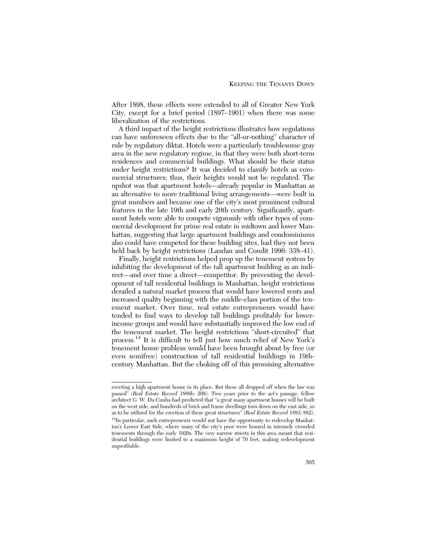After 1898, these effects were extended to all of Greater New York City, except for a brief period (1897–1901) when there was some liberalization of the restrictions.

A third impact of the height restrictions illustrates how regulations can have unforeseen effects due to the "all-or-nothing" character of rule by regulatory diktat. Hotels were a particularly troublesome gray area in the new regulatory regime, in that they were both short-term residences and commercial buildings. What should be their status under height restrictions? It was decided to classify hotels as commercial structures; thus, their heights would not be regulated. The upshot was that apartment hotels—already popular in Manhattan as an alternative to more traditional living arrangements—were built in great numbers and became one of the city's most prominent cultural features in the late 19th and early 20th century. Significantly, apartment hotels were able to compete vigorously with other types of commercial development for prime real estate in midtown and lower Manhattan, suggesting that large apartment buildings and condominiums also could have competed for these building sites, had they not been held back by height restrictions (Landau and Condit 1996: 338–41).

Finally, height restrictions helped prop up the tenement system by inhibiting the development of the tall apartment building as an indirect—and over time a direct—competitor. By preventing the development of tall residential buildings in Manhattan, height restrictions derailed a natural market process that would have lowered rents and increased quality beginning with the middle-class portion of the tenement market. Over time, real estate entrepreneurs would have tended to find ways to develop tall buildings profitably for lowerincome groups and would have substantially improved the low end of the tenement market. The height restrictions "short-circuited" that process.14 It is difficult to tell just how much relief of New York's tenement house problem would have been brought about by free (or even semifree) construction of tall residential buildings in 19thcentury Manhattan. But the choking off of this promising alternative

erecting a high apartment house in its place. But these all dropped off when the law was passed" (*Real Estate Record* 1888b: 208). Two years prior to the act's passage, fellow architect G. W. Da Cunha had predicted that "a great many apartment houses will be built on the west side, and hundreds of brick and frame dwellings torn down on the east side, so as to be utilized for the erection of these great structures" (*Real Estate Record* 1883: 882). <sup>14</sup>In particular, such entrepreneurs would not have the opportunity to redevelop Manhattan's Lower East Side, where many of the city's poor were housed in intensely crowded

tenements through the early 1920s. The very narrow streets in this area meant that residential buildings were limited to a maximum height of 70 feet, making redevelopment unprofitable.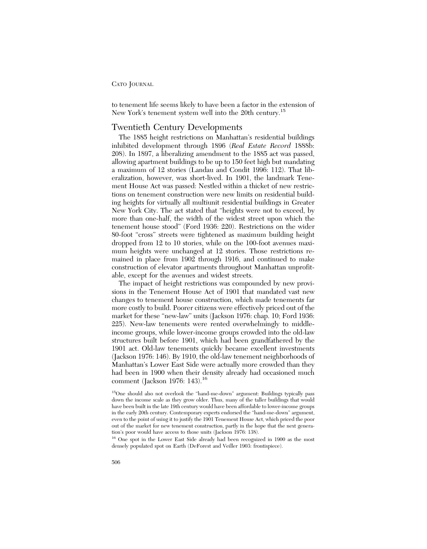to tenement life seems likely to have been a factor in the extension of New York's tenement system well into the 20th century.<sup>15</sup>

## Twentieth Century Developments

The 1885 height restrictions on Manhattan's residential buildings inhibited development through 1896 (*Real Estate Record* 1888b: 208). In 1897, a liberalizing amendment to the 1885 act was passed, allowing apartment buildings to be up to 150 feet high but mandating a maximum of 12 stories (Landau and Condit 1996: 112). That liberalization, however, was short-lived. In 1901, the landmark Tenement House Act was passed: Nestled within a thicket of new restrictions on tenement construction were new limits on residential building heights for virtually all multiunit residential buildings in Greater New York City. The act stated that "heights were not to exceed, by more than one-half, the width of the widest street upon which the tenement house stood" (Ford 1936: 220). Restrictions on the wider 80-foot "cross" streets were tightened as maximum building height dropped from 12 to 10 stories, while on the 100-foot avenues maximum heights were unchanged at 12 stories. Those restrictions remained in place from 1902 through 1916, and continued to make construction of elevator apartments throughout Manhattan unprofitable, except for the avenues and widest streets.

The impact of height restrictions was compounded by new provisions in the Tenement House Act of 1901 that mandated vast new changes to tenement house construction, which made tenements far more costly to build. Poorer citizens were effectively priced out of the market for these "new-law" units (Jackson 1976: chap. 10; Ford 1936: 225). New-law tenements were rented overwhelmingly to middleincome groups, while lower-income groups crowded into the old-law structures built before 1901, which had been grandfathered by the 1901 act. Old-law tenements quickly became excellent investments (Jackson 1976: 146). By 1910, the old-law tenement neighborhoods of Manhattan's Lower East Side were actually more crowded than they had been in 1900 when their density already had occasioned much comment (Jackson 1976: 143).16

<sup>16</sup> One spot in the Lower East Side already had been recognized in 1900 as the most densely populated spot on Earth (DeForest and Veiller 1903: frontispiece).

<sup>15</sup>One should also not overlook the "hand-me-down" argument: Buildings typically pass down the income scale as they grow older. Thus, many of the taller buildings that would have been built in the late 19th century would have been affordable to lower-income groups in the early 20th century. Contemporary experts endorsed the "hand-me-down" argument, even to the point of using it to justify the 1901 Tenement House Act, which priced the poor out of the market for new tenement construction, partly in the hope that the next generation's poor would have access to those units (Jackson 1976: 138).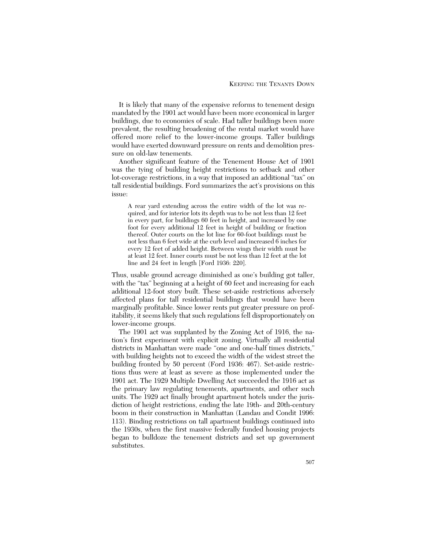It is likely that many of the expensive reforms to tenement design mandated by the 1901 act would have been more economical in larger buildings, due to economies of scale. Had taller buildings been more prevalent, the resulting broadening of the rental market would have offered more relief to the lower-income groups. Taller buildings would have exerted downward pressure on rents and demolition pressure on old-law tenements.

Another significant feature of the Tenement House Act of 1901 was the tying of building height restrictions to setback and other lot-coverage restrictions, in a way that imposed an additional "tax" on tall residential buildings. Ford summarizes the act's provisions on this issue:

A rear yard extending across the entire width of the lot was required, and for interior lots its depth was to be not less than 12 feet in every part, for buildings 60 feet in height, and increased by one foot for every additional 12 feet in height of building or fraction thereof. Outer courts on the lot line for 60-foot buildings must be not less than 6 feet wide at the curb level and increased 6 inches for every 12 feet of added height. Between wings their width must be at least 12 feet. Inner courts must be not less than 12 feet at the lot line and 24 feet in length [Ford 1936: 220].

Thus, usable ground acreage diminished as one's building got taller, with the "tax" beginning at a height of 60 feet and increasing for each additional 12-foot story built. These set-aside restrictions adversely affected plans for tall residential buildings that would have been marginally profitable. Since lower rents put greater pressure on profitability, it seems likely that such regulations fell disproportionately on lower-income groups.

The 1901 act was supplanted by the Zoning Act of 1916, the nation's first experiment with explicit zoning. Virtually all residential districts in Manhattan were made "one and one-half times districts," with building heights not to exceed the width of the widest street the building fronted by 50 percent (Ford 1936: 467). Set-aside restrictions thus were at least as severe as those implemented under the 1901 act. The 1929 Multiple Dwelling Act succeeded the 1916 act as the primary law regulating tenements, apartments, and other such units. The 1929 act finally brought apartment hotels under the jurisdiction of height restrictions, ending the late 19th- and 20th-century boom in their construction in Manhattan (Landau and Condit 1996: 113). Binding restrictions on tall apartment buildings continued into the 1930s, when the first massive federally funded housing projects began to bulldoze the tenement districts and set up government substitutes.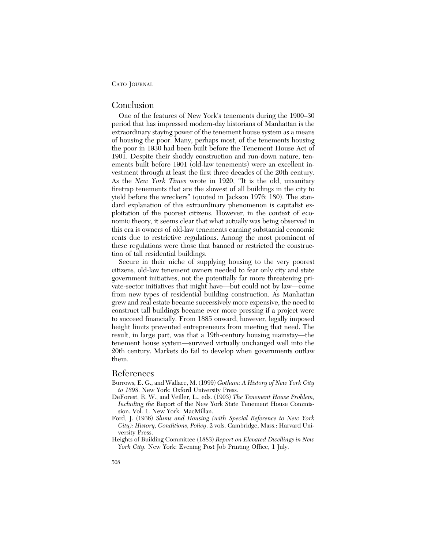## Conclusion

One of the features of New York's tenements during the 1900–30 period that has impressed modern-day historians of Manhattan is the extraordinary staying power of the tenement house system as a means of housing the poor. Many, perhaps most, of the tenements housing the poor in 1930 had been built before the Tenement House Act of 1901. Despite their shoddy construction and run-down nature, tenements built before 1901 (old-law tenements) were an excellent investment through at least the first three decades of the 20th century. As the *New York Times* wrote in 1920, "It is the old, unsanitary firetrap tenements that are the slowest of all buildings in the city to yield before the wreckers" (quoted in Jackson 1976: 180). The standard explanation of this extraordinary phenomenon is capitalist exploitation of the poorest citizens. However, in the context of economic theory, it seems clear that what actually was being observed in this era is owners of old-law tenements earning substantial economic rents due to restrictive regulations. Among the most prominent of these regulations were those that banned or restricted the construction of tall residential buildings.

Secure in their niche of supplying housing to the very poorest citizens, old-law tenement owners needed to fear only city and state government initiatives, not the potentially far more threatening private-sector initiatives that might have—but could not by law—come from new types of residential building construction. As Manhattan grew and real estate became successively more expensive, the need to construct tall buildings became ever more pressing if a project were to succeed financially. From 1885 onward, however, legally imposed height limits prevented entrepreneurs from meeting that need. The result, in large part, was that a 19th-century housing mainstay—the tenement house system—survived virtually unchanged well into the 20th century. Markets do fail to develop when governments outlaw them.

### References

- Burrows, E. G., and Wallace, M. (1999) *Gotham: A History of New York City to 1898*. New York: Oxford University Press.
- DeForest, R. W., and Veiller, L., eds. (1903) *The Tenement House Problem, Including the* Report of the New York State Tenement House Commission. Vol. 1. New York: MacMillan.
- Ford, J. (1936) *Slums and Housing (with Special Reference to New York City): History, Conditions, Policy*. 2 vols. Cambridge, Mass.: Harvard University Press.
- Heights of Building Committee (1883) *Report on Elevated Dwellings in New York City.* New York: Evening Post Job Printing Office, 1 July.